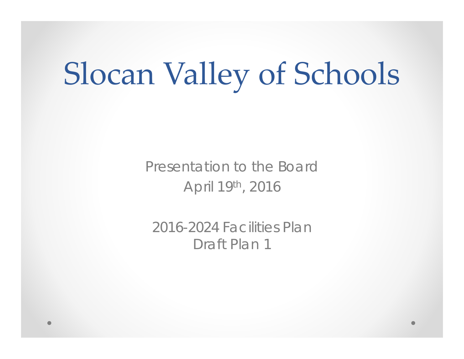# Slocan Valley of Schools

Presentation to the BoardApril 19th, 2016

2016-2024 Facilities PlanDraft Plan 1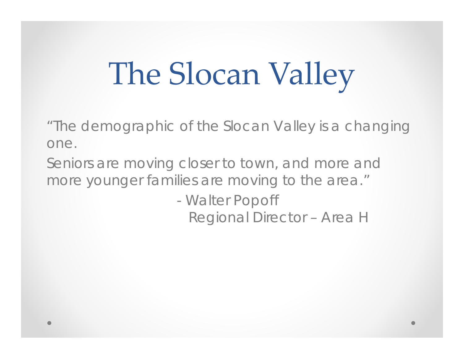# The Slocan Valley

"The demographic of the Slocan Valley is a changing one.

Seniors are moving closer to town, and more and more younger families are moving to the area."

> - Walter Popoff Regional Director – Area H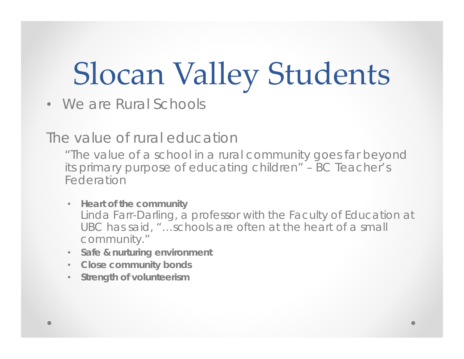# Slocan Valley Students

• We are Rural Schools

The value of rural education

"The value of a school in a rural community goes far beyond its primary purpose of educating children" – BC Teacher's Federation

- **Heart of the community** Linda Farr-Darling, a professor with the Faculty of Education at UBC has said, "…schools are often at the heart of a small community."
- **Safe & nurturing environment**
- **Close community bonds**
- **Strength of volunteerism**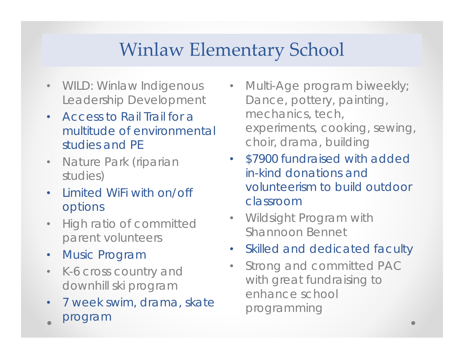### Winlaw Elementary School

- WILD: Winlaw Indigenous Leadership Development
- • Access to Rail Trail for a multitude of environmental studies and PE
- • Nature Park (riparian studies)
- • Limited WiFi with on/off options
- • High ratio of committed parent volunteers
- $\bullet$ Music Program
- • K-6 cross country and downhill ski program
- • 7 week swim, drama, skate program
- Multi-Age program biweekly; Dance, pottery, painting, mechanics, tech, experiments, cooking, sewing, choir, drama, building
- \$7900 fundraised with added in-kind donations and volunteerism to build outdoor classroom
- Wildsight Program with Shannoon Bennet
- Skilled and dedicated faculty
- $\bullet$  Strong and committed PAC with great fundraising to enhance school programming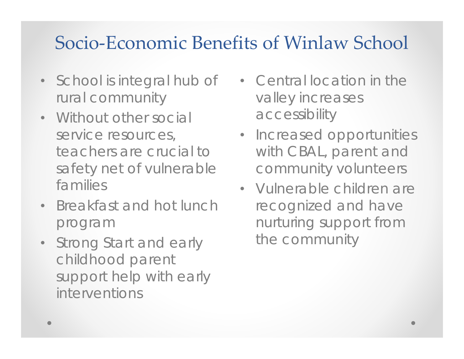### Socio‐Economic Benefits of Winlaw School

- School is integral hub of rural community
- Without other social service resources, teachers are crucial to safety net of vulnerable families
- Breakfast and hot lunch program
- Strong Start and early childhood parent support help with early interventions
- Central location in the valley increases accessibility
- Increased opportunities with CBAL, parent and community volunteers
- Vulnerable children are recognized and have nurturing support from the community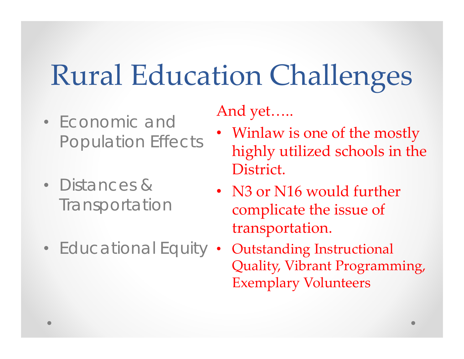## Rural Education Challenges

- Economic and Population Effects
- Distances & **Transportation**
- Educational Equity •

And yet…..

- Winlaw is one of the mostly highly utilized schools in the District.
- N3 or N16 would further complicate the issue of transportation.
	- Outstanding Instructional Quality, Vibrant Programming, Exemplary Volunteers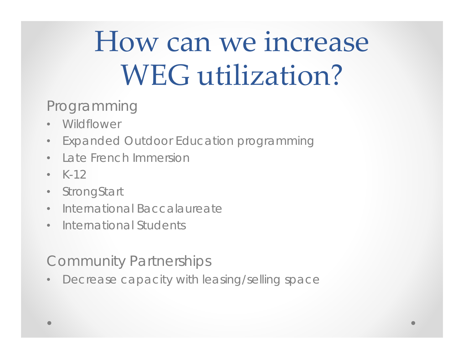## How can we increase WEG utilization?

Programming

- •**Wildflower**
- •Expanded Outdoor Education programming
- •Late French Immersion
- $K-12$
- •**StrongStart**
- $\bullet$ • International Baccalaureate
- International Students

Community Partnerships

 $\bullet$ Decrease capacity with leasing/selling space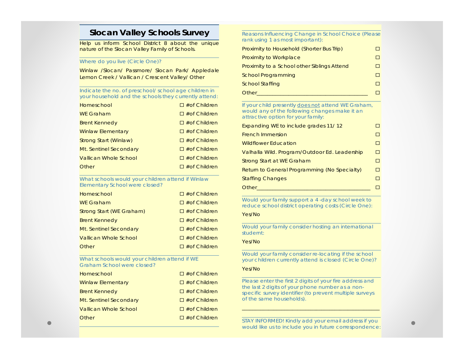#### **Slocan Valley Schools Survey**

Help us inform School District 8 about the unique nature of the Slocan Valley Family of Schools.

#### Where do you live (Circle One)?

Winlaw /Slocan/ Passmore/ Slocan Park/ Appledale Lemon Creek / Vallican / Crescent Valley/ Other

Indicate the no. of preschool/ school age children in your household and the schools they currently attend:

| Homeschool                   | $\Box \#$ of Children |
|------------------------------|-----------------------|
| <b>WE Graham</b>             | $\Box \#$ of Children |
| <b>Brent Kennedy</b>         | $\Box \#$ of Children |
| <b>Winlaw Elementary</b>     | $\Box \#$ of Children |
| Strong Start (Winlaw)        | $\Box \#$ of Children |
| Mt. Sentinel Secondary       | $\Box$ # of Children  |
| <b>Vallican Whole School</b> | $\Box \#$ of Children |
| Other                        | $\Box \#$ of Children |

What schools would your children attend if Winlaw Elementary School were closed?

| Homeschool               | $\Box$ #of Children |
|--------------------------|---------------------|
| <b>WE Graham</b>         | $\Box$ #of Children |
| Strong Start (WE Graham) | $\Box$ #of Children |
| <b>Brent Kennedy</b>     | $\Box$ #of Children |
| Mt. Sentinel Secondary   | $\Box$ #of Children |
| Vallican Whole School    | $\Box$ #of Children |
| Other                    | $\Box$ #of Children |

What schools would your children attend if WE Graham School were closed?

| Homeschool                   | $\Box$ #of Children |
|------------------------------|---------------------|
| <b>Winlaw Elementary</b>     | $\Box$ #of Children |
| <b>Brent Kennedy</b>         | $\Box$ #of Children |
| Mt. Sentinel Secondary       | $\Box$ #of Children |
| <b>Vallican Whole School</b> | $\Box$ #of Children |
| Other                        | $\Box$ #of Children |

Reasons Influencing Change in School Choice (Please rank using 1 as most important):

| Proximity to Household (Shorter Bus Trip)   |  |
|---------------------------------------------|--|
| <b>Proximity to Workplace</b>               |  |
| Proximity to a School other Siblings Attend |  |
| <b>School Programming</b>                   |  |
| <b>School Staffing</b>                      |  |
| Other                                       |  |

If your child presently does not attend WE Graham, would any of the following changes make it an attractive option for your family:

| Expanding WE to include grades 11/12          |   |
|-----------------------------------------------|---|
| <b>French Immersion</b>                       |   |
| <b>Wildflower Education</b>                   |   |
| Valhalla Wild. Program/Outdoor Ed. Leadership | п |
| Strong Start at WE Graham                     |   |
| Return to General Programming (No Specialty)  | H |
| <b>Staffing Changes</b>                       |   |
| Other                                         |   |

Would your family support a 4 -day school week to reduce school district operating costs (Circle One):

#### Yes/No

Would your family consider hosting an international studernt:

#### Yes/No

Would your family consider re-locating if the school your children currently attend is closed (Circle One)?

#### Yes/No

Please enter the first 2 digits of your fire address and the last 2 digits of your phone number as a nonspecific survey identifier (to prevent multiple surveys of the same households).

STAY INFORMED! Kindly add your email address if you would like us to include you in future correspondence: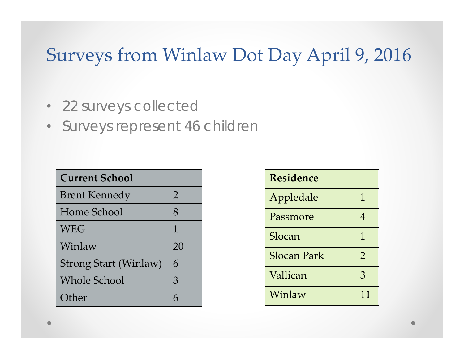### Surveys from Winlaw Dot Day April 9, 2016

- 22 surveys collected
- Surveys represent 46 children

| <b>Current School</b>        |                |  |  |  |
|------------------------------|----------------|--|--|--|
| <b>Brent Kennedy</b>         | $\overline{2}$ |  |  |  |
| Home School                  | 8              |  |  |  |
| <b>WEG</b>                   | 1              |  |  |  |
| Winlaw                       | 20             |  |  |  |
| <b>Strong Start (Winlaw)</b> | 6              |  |  |  |
| <b>Whole School</b>          | 3              |  |  |  |
| Other                        |                |  |  |  |

| <b>Residence</b> |                |  |  |  |
|------------------|----------------|--|--|--|
| Appledale        | 1              |  |  |  |
| Passmore         | 4              |  |  |  |
| Slocan           | 1              |  |  |  |
| Slocan Park      | $\overline{2}$ |  |  |  |
| Vallican         | 3              |  |  |  |
| Winlaw           | 11             |  |  |  |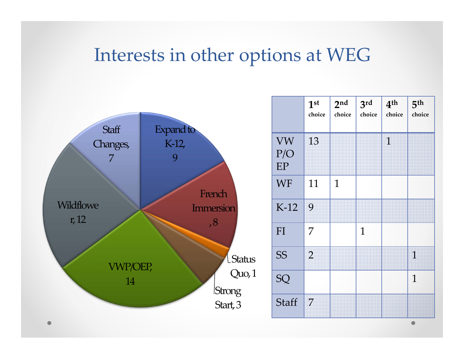### Interests in other options at WEG

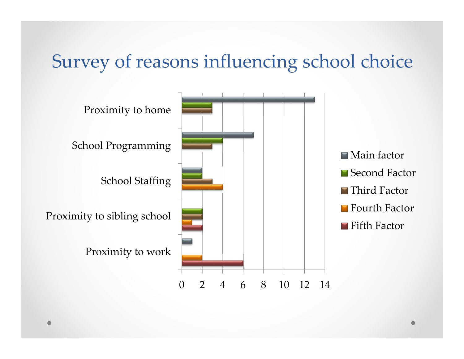### Survey of reasons influencing school choice

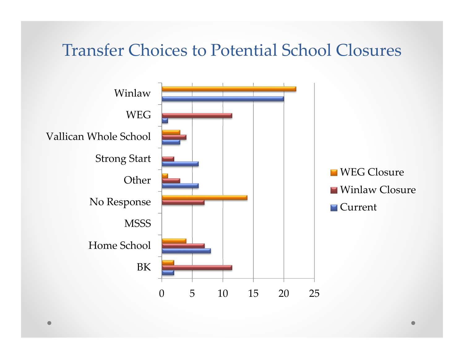### Transfer Choices to Potential School Closures

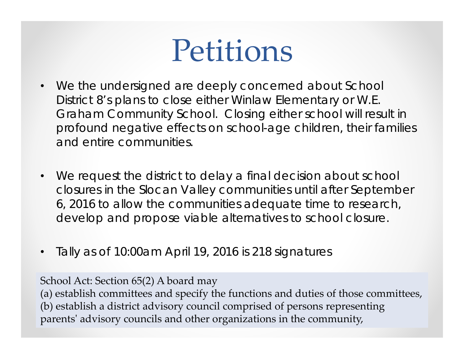## Petitions

- $\bullet$ We the undersigned are deeply concerned about School District 8's plans to close either Winlaw Elementary or W.E. Graham Community School. Closing either school will result in profound negative effects on school-age children, their families and entire communities.
- $\bullet$ We request the district to delay a final decision about school closures in the Slocan Valley communities until after September 6, 2016 to allow the communities adequate time to research, develop and propose viable alternatives to school closure.
- $\bullet$ Tally as of 10:00am April 19, 2016 is 218 signatures

School Act: Section 65(2) A board may

(a) establish committees and specify the functions and duties of those committees, (b) establish <sup>a</sup> district advisory council comprised of persons representing parents' advisory councils and other organizations in the community,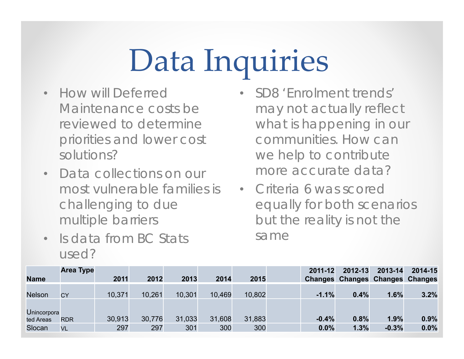# Data Inquiries

- How will Deferred Maintenance costs be reviewed to determine priorities and lower cost solutions?
- Data collections on our most vulnerable families is challenging to due multiple barriers
- •Is data from BC Stats used?
- • SD8 'Enrolment trends' may not actually reflect what is happening in our communities. How can we help to contribute more accurate data?
- Criteria 6 was scored equally for both scenarios but the reality is not the same

|                          | <b>Area Type</b> |        |        |        |        |        | 2011-12 | 2012-13 | 2013-14                                | 2014-15 |
|--------------------------|------------------|--------|--------|--------|--------|--------|---------|---------|----------------------------------------|---------|
| <b>Name</b>              |                  | 2011   | 2012   | 2013   | 2014   | 2015   |         |         | <b>Changes Changes Changes Changes</b> |         |
| <b>Nelson</b>            | <b>CY</b>        | 10,371 | 10,261 | 10,301 | 10,469 | 10,802 | $-1.1%$ | 0.4%    | 1.6%                                   | 3.2%    |
| Unincorpora<br>ted Areas | <b>RDR</b>       | 30,913 | 30,776 | 31,033 | 31,608 | 31,883 | $-0.4%$ | 0.8%    | 1.9%                                   | 0.9%    |
| Slocan                   | <b>VL</b>        | 297    | 297    | 301    | 300    | 300    | 0.0%    | 1.3%    | $-0.3%$                                | 0.0%    |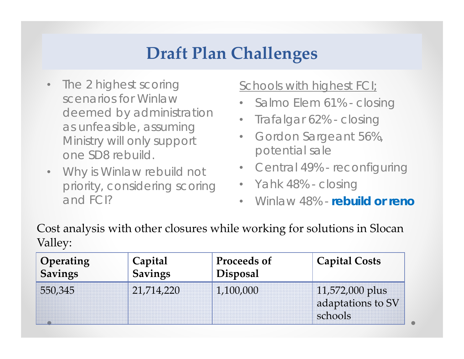### **Draft Plan Challenges**

- • The 2 highest scoring scenarios for Winlaw deemed by administration as unfeasible, assuming Ministry will only support one SD8 rebuild.
- $\bullet$  Why is Winlaw rebuild not priority, considering scoring and FCI?

### Schools with highest FCI;

- •Salmo Elem 61% - closing
- $\bullet$ Trafalgar 62% - closing
- $\bullet$  Gordon Sargeant 56%, potential sale
- Central 49% reconfiguring
- Yahk 48% closing
- •Winlaw 48% - **rebuild or reno**

Cost analysis with other closures while working for solutions in Slocan Valley:

| Operating | Capital    | Proceeds of     | <b>Capital Costs</b>                            |
|-----------|------------|-----------------|-------------------------------------------------|
| Savings   | Savings    | <b>Disposal</b> |                                                 |
| 550,345   | 21,714,220 | 1,100,000       | 11,572,000 plus<br>adaptations to SV<br>schools |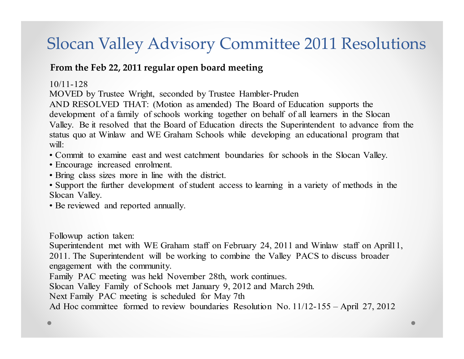### Slocan Valley Advisory Committee 2011 Resolutions

#### **From the Feb 22, 2011 regular open board meeting**

#### 10/11-128

MOVED by Trustee Wright, seconded by Trustee Hambler-Pruden

AND RESOLVED THAT: (Motion as amended) The Board of Education supports the development of a family of schools working together on behalf of all learners in the Slocan Valley. Be it resolved that the Board of Education directs the Superintendent to advance from the status quo at Winlaw and WE Graham Schools while developing an educational program that will:

• Commit to examine east and west catchment boundaries for schools in the Slocan Valley.

- Encourage increased enrolment.
- Bring class sizes more in line with the district.

• Support the further development of student access to learning in a variety of methods in the Slocan Valley.

• Be reviewed and reported annually.

Followup action taken:

Superintendent met with WE Graham staff on February 24, 2011 and Winlaw staff on April11, 2011. The Superintendent will be working to combine the Valley PACS to discuss broader engagement with the community.

Family PAC meeting was held November 28th, work continues.

Slocan Valley Family of Schools met January 9, 2012 and March 29th.

Next Family PAC meeting is scheduled for May 7th

Ad Hoc committee formed to review boundaries Resolution No. 11/12-155 – April 27, 2012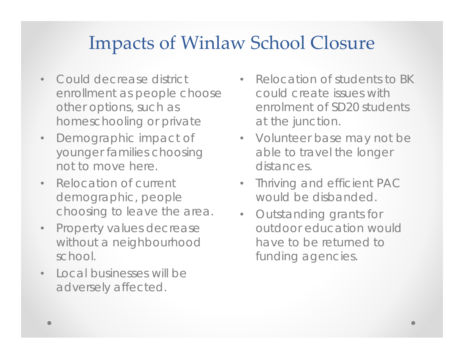### Impacts of Winlaw School Closure

- • Could decrease district enrollment as people choose other options, such as homeschooling or private
- • Demographic impact of younger families choosing not to move here.
- Relocation of current demographic, people choosing to leave the area.
- • Property values decrease without a neighbourhood school.
- • Local businesses will be adversely affected.
- Relocation of students to BK could create issues with enrolment of SD20 students at the junction.
- Volunteer base may not be able to travel the longer distances.
- Thriving and efficient PAC would be disbanded.
- Outstanding grants for outdoor education would have to be returned to funding agencies.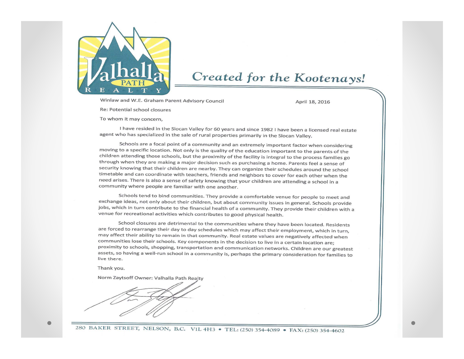

#### Created for the Kootenays!

Winlaw and W.E. Graham Parent Advisory Council

April 18, 2016

Re: Potential school closures

To whom it may concern.

I have resided in the Slocan Valley for 60 years and since 1982 I have been a licensed real estate agent who has specialized in the sale of rural properties primarily in the Slocan Valley.

Schools are a focal point of a community and an extremely important factor when considering moving to a specific location. Not only is the quality of the education important to the parents of the children attending those schools, but the proximity of the facility is integral to the process families go through when they are making a major decision such as purchasing a home. Parents feel a sense of security knowing that their children are nearby. They can organize their schedules around the school timetable and can coordinate with teachers, friends and neighbors to cover for each other when the need arises. There is also a sense of safety knowing that your children are attending a school in a community where people are familiar with one another.

Schools tend to bind communities. They provide a comfortable venue for people to meet and exchange ideas, not only about their children, but about community issues in general. Schools provide jobs, which in turn contribute to the financial health of a community. They provide their children with a venue for recreational activities which contributes to good physical health.

School closures are detrimental to the communities where they have been located. Residents are forced to rearrange their day to day schedules which may affect their employment, which in turn, may affect their ability to remain in that community. Real estate values are negatively affected when communities lose their schools. Key components in the decision to live in a certain location are; proximity to schools, shopping, transportation and communication networks. Children are our greatest assets, so having a well-run school in a community is, perhaps the primary consideration for families to live there.

Thank you.

Norm Zaytsoff Owner: Valhalla Path Realty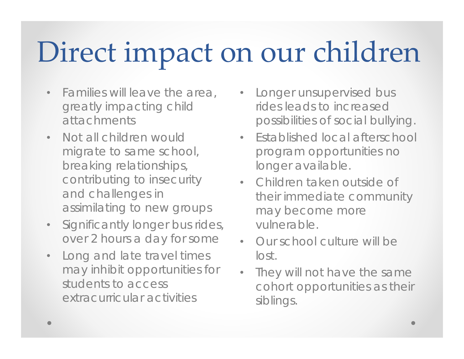# Direct impact on our children

- $\bullet$  Families will leave the area, greatly impacting child attachments
- • Not all children would migrate to same school, breaking relationships, contributing to insecurity and challenges in assimilating to new groups
- $\bullet$  Significantly longer bus rides, over 2 hours a day for some
- • Long and late travel times may inhibit opportunities for students to access extracurricular activities
- Longer unsupervised bus rides leads to increased possibilities of social bullying.
- Established local afterschool program opportunities no longer available.
- Children taken outside of their immediate community may become more vulnerable.
- Our school culture will be lost.
- • They will not have the same cohort opportunities as their siblings.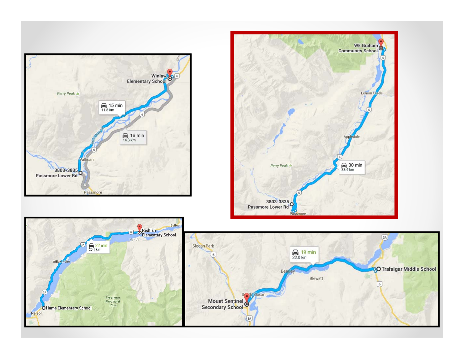



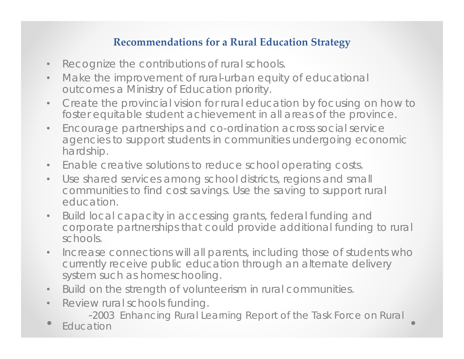#### **Recommendations for <sup>a</sup> Rural Education Strategy**

- $\bullet$ Recognize the contributions of rural schools.
- $\bullet$  Make the improvement of rural-urban equity of educational outcomes a Ministry of Education priority.
- • Create the provincial vision for rural education by focusing on how to foster equitable student achievement in all areas of the province.
- $\bullet$  Encourage partnerships and co-ordination across social service agencies to support students in communities undergoing economic hardship.
- •Enable creative solutions to reduce school operating costs.
- $\bullet$  Use shared services among school districts, regions and small communities to find cost savings. Use the saving to support rural education.
- • Build local capacity in accessing grants, federal funding and corporate partnerships that could provide additional funding to rural schools.
- $\bullet$  Increase connections will all parents, including those of students who currently receive public education through an alternate delivery system such as homeschooling.
- $\bullet$ Build on the strength of volunteerism in rural communities.
- $\bullet$  Review rural schools funding.
	- -2003 Enhancing Rural Learning Report of the Task Force on Rural
- Education